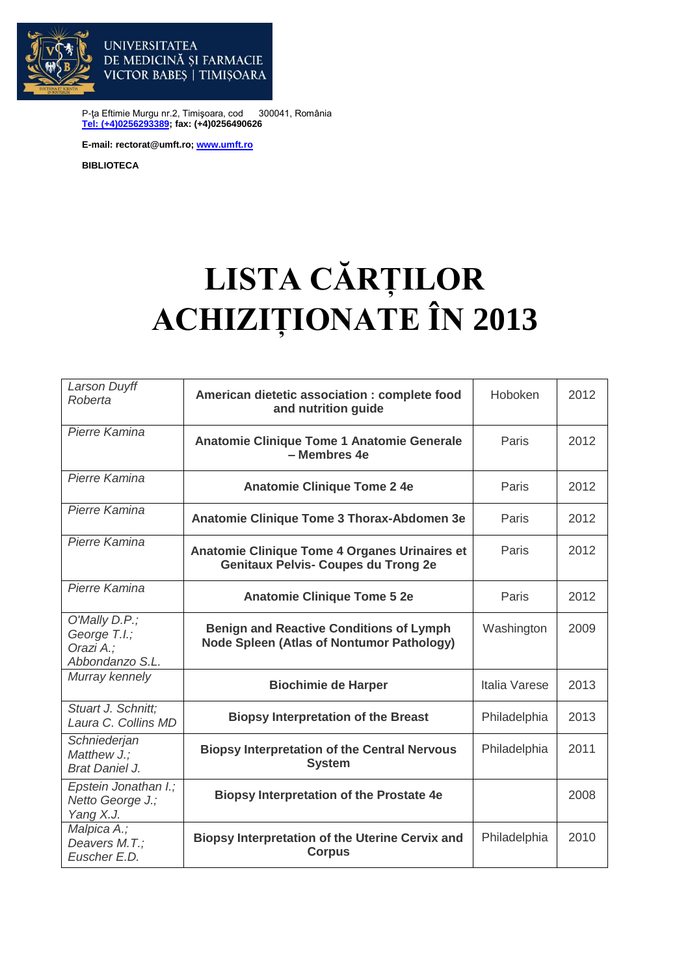

VICTOR BABES | TIMISOARA

DE MEDICINĂ ȘI FARMACIE

P-ţa Eftimie Murgu nr.2, Timişoara, cod 300041, România **[Tel: \(+4\)0256293389;](tel:(40)0256293389) fax: (+4)0256490626**

**E-mail: rectorat@umft.ro; [www.umft.ro](http://www.umft.ro/)**

**UNIVERSITATEA** 

**BIBLIOTECA**

## **LISTA CĂRȚILOR ACHIZIȚIONATE ÎN 2013**

| Larson Duyff<br>Roberta                                       | American dietetic association : complete food<br>and nutrition guide                               | Hoboken       | 2012 |
|---------------------------------------------------------------|----------------------------------------------------------------------------------------------------|---------------|------|
| Pierre Kamina                                                 | Anatomie Clinique Tome 1 Anatomie Generale<br>- Membres 4e                                         | Paris         | 2012 |
| Pierre Kamina                                                 | <b>Anatomie Clinique Tome 2 4e</b>                                                                 | Paris         | 2012 |
| Pierre Kamina                                                 | Anatomie Clinique Tome 3 Thorax-Abdomen 3e                                                         | Paris         | 2012 |
| Pierre Kamina                                                 | Anatomie Clinique Tome 4 Organes Urinaires et<br><b>Genitaux Pelvis- Coupes du Trong 2e</b>        | Paris         | 2012 |
| Pierre Kamina                                                 | <b>Anatomie Clinique Tome 5 2e</b>                                                                 | Paris         | 2012 |
| O'Mally D.P.;<br>George T.I.;<br>Orazi A.;<br>Abbondanzo S.L. | <b>Benign and Reactive Conditions of Lymph</b><br><b>Node Spleen (Atlas of Nontumor Pathology)</b> | Washington    | 2009 |
| Murray kennely                                                | <b>Biochimie de Harper</b>                                                                         | Italia Varese | 2013 |
| Stuart J. Schnitt;<br>Laura C. Collins MD                     | <b>Biopsy Interpretation of the Breast</b>                                                         | Philadelphia  | 2013 |
| Schniederjan<br>Matthew J.;<br><b>Brat Daniel J.</b>          | <b>Biopsy Interpretation of the Central Nervous</b><br><b>System</b>                               | Philadelphia  | 2011 |
| Epstein Jonathan I.;<br>Netto George J.;<br>Yang X.J.         | <b>Biopsy Interpretation of the Prostate 4e</b>                                                    |               | 2008 |
| Malpica A.;<br>Deavers M.T.:<br>Euscher E.D.                  | <b>Biopsy Interpretation of the Uterine Cervix and</b><br><b>Corpus</b>                            | Philadelphia  | 2010 |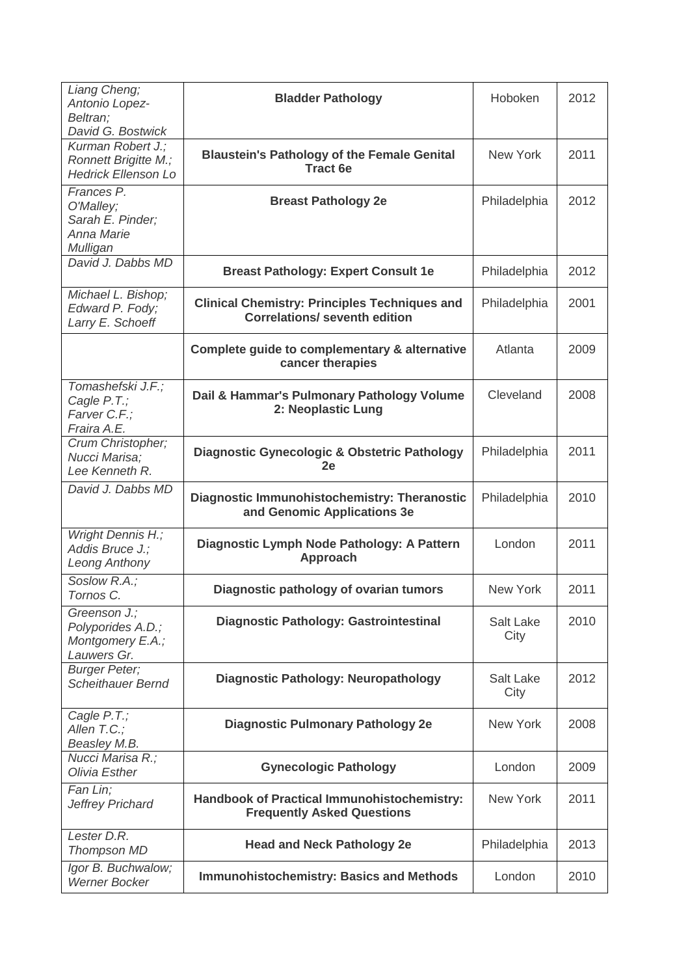| Liang Cheng;<br>Antonio Lopez-                                          | <b>Bladder Pathology</b>                                                                     | Hoboken           | 2012 |
|-------------------------------------------------------------------------|----------------------------------------------------------------------------------------------|-------------------|------|
| Beltran;<br>David G. Bostwick                                           |                                                                                              |                   |      |
| Kurman Robert J.;<br>Ronnett Brigitte M.;<br><b>Hedrick Ellenson Lo</b> | <b>Blaustein's Pathology of the Female Genital</b><br><b>Tract 6e</b>                        | <b>New York</b>   | 2011 |
| Frances P.<br>O'Malley;<br>Sarah E. Pinder:<br>Anna Marie<br>Mulligan   | <b>Breast Pathology 2e</b>                                                                   | Philadelphia      | 2012 |
| David J. Dabbs MD                                                       | <b>Breast Pathology: Expert Consult 1e</b>                                                   | Philadelphia      | 2012 |
| Michael L. Bishop;<br>Edward P. Fody;<br>Larry E. Schoeff               | <b>Clinical Chemistry: Principles Techniques and</b><br><b>Correlations/ seventh edition</b> | Philadelphia      | 2001 |
|                                                                         | Complete guide to complementary & alternative<br>cancer therapies                            | Atlanta           | 2009 |
| Tomashefski J.F.;<br>Cagle P.T.;<br>Farver C.F.;<br>Fraira A.E.         | Dail & Hammar's Pulmonary Pathology Volume<br>2: Neoplastic Lung                             | Cleveland         | 2008 |
| Crum Christopher;<br>Nucci Marisa;<br>Lee Kenneth R.                    | <b>Diagnostic Gynecologic &amp; Obstetric Pathology</b><br>2e                                | Philadelphia      | 2011 |
| David J. Dabbs MD                                                       | Diagnostic Immunohistochemistry: Theranostic<br>and Genomic Applications 3e                  | Philadelphia      | 2010 |
| Wright Dennis H.;<br>Addis Bruce J.;<br><b>Leong Anthony</b>            | Diagnostic Lymph Node Pathology: A Pattern<br><b>Approach</b>                                | London            | 2011 |
| Soslow R.A.;<br>Tornos C.                                               | Diagnostic pathology of ovarian tumors                                                       | New York          | 2011 |
| Greenson J.;<br>Polyporides A.D.;<br>Montgomery E.A.;<br>Lauwers Gr.    | <b>Diagnostic Pathology: Gastrointestinal</b>                                                | Salt Lake<br>City | 2010 |
| <b>Burger Peter;</b><br><b>Scheithauer Bernd</b>                        | <b>Diagnostic Pathology: Neuropathology</b>                                                  | Salt Lake<br>City | 2012 |
| Cagle P.T.;<br>Allen T.C.;<br>Beasley M.B.                              | <b>Diagnostic Pulmonary Pathology 2e</b>                                                     | New York          | 2008 |
| Nucci Marisa R.;<br>Olivia Esther                                       | <b>Gynecologic Pathology</b>                                                                 | London            | 2009 |
| Fan Lin;<br>Jeffrey Prichard                                            | Handbook of Practical Immunohistochemistry:<br><b>Frequently Asked Questions</b>             | New York          | 2011 |
| Lester D.R.<br><b>Thompson MD</b>                                       | <b>Head and Neck Pathology 2e</b>                                                            | Philadelphia      | 2013 |
| Igor B. Buchwalow;<br><b>Werner Bocker</b>                              | <b>Immunohistochemistry: Basics and Methods</b>                                              | London            | 2010 |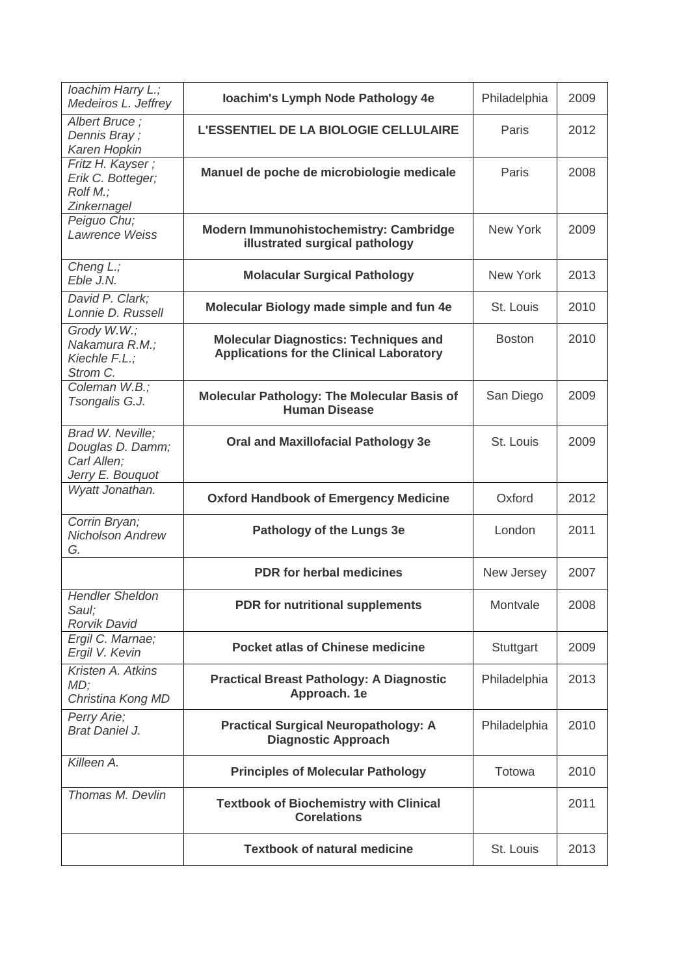| loachim Harry L.;<br>Medeiros L. Jeffrey                                | loachim's Lymph Node Pathology 4e                                                               | Philadelphia  | 2009 |
|-------------------------------------------------------------------------|-------------------------------------------------------------------------------------------------|---------------|------|
| Albert Bruce;<br>Dennis Bray;<br>Karen Hopkin                           | L'ESSENTIEL DE LA BIOLOGIE CELLULAIRE                                                           | Paris         | 2012 |
| Fritz H. Kayser;<br>Erik C. Botteger;<br>Rolf M.;<br>Zinkernagel        | Manuel de poche de microbiologie medicale                                                       | Paris         | 2008 |
| Peiguo Chu;<br>Lawrence Weiss                                           | Modern Immunohistochemistry: Cambridge<br>illustrated surgical pathology                        | New York      | 2009 |
| Cheng L.;<br>Eble J.N.                                                  | <b>Molacular Surgical Pathology</b>                                                             | New York      | 2013 |
| David P. Clark;<br>Lonnie D. Russell                                    | Molecular Biology made simple and fun 4e                                                        | St. Louis     | 2010 |
| Grody W.W.;<br>Nakamura R.M.;<br>Kiechle F.L.;<br>Strom C.              | <b>Molecular Diagnostics: Techniques and</b><br><b>Applications for the Clinical Laboratory</b> | <b>Boston</b> | 2010 |
| Coleman W.B.;<br>Tsongalis G.J.                                         | <b>Molecular Pathology: The Molecular Basis of</b><br><b>Human Disease</b>                      | San Diego     | 2009 |
| Brad W. Neville;<br>Douglas D. Damm;<br>Carl Allen;<br>Jerry E. Bouquot | <b>Oral and Maxillofacial Pathology 3e</b>                                                      | St. Louis     | 2009 |
| Wyatt Jonathan.                                                         | <b>Oxford Handbook of Emergency Medicine</b>                                                    | Oxford        | 2012 |
| Corrin Bryan;<br><b>Nicholson Andrew</b><br>G.                          | Pathology of the Lungs 3e                                                                       | London        | 2011 |
|                                                                         | <b>PDR</b> for herbal medicines                                                                 | New Jersey    | 2007 |
| <b>Hendler Sheldon</b><br>Saul;<br><b>Rorvik David</b>                  | PDR for nutritional supplements                                                                 | Montvale      | 2008 |
| Ergil C. Marnae;<br>Ergil V. Kevin                                      | <b>Pocket atlas of Chinese medicine</b>                                                         | Stuttgart     | 2009 |
| Kristen A. Atkins<br>MD;<br>Christina Kong MD                           | <b>Practical Breast Pathology: A Diagnostic</b><br>Approach. 1e                                 | Philadelphia  | 2013 |
| Perry Arie;<br><b>Brat Daniel J.</b>                                    | <b>Practical Surgical Neuropathology: A</b><br><b>Diagnostic Approach</b>                       | Philadelphia  | 2010 |
| Killeen A.                                                              | <b>Principles of Molecular Pathology</b>                                                        | Totowa        | 2010 |
| Thomas M. Devlin                                                        | <b>Textbook of Biochemistry with Clinical</b><br><b>Corelations</b>                             |               | 2011 |
|                                                                         | <b>Textbook of natural medicine</b>                                                             | St. Louis     | 2013 |